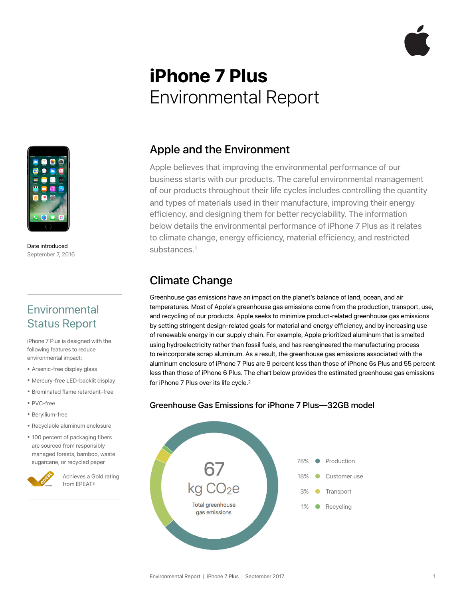# **iPhone 7 Plus**  Environmental Report



Date introduced September 7, 2016

# **Environmental** Status Report

iPhone 7 Plus is designed with the following features to reduce environmental impact:

- Arsenic-free display glass
- Mercury-free LED-backlit display
- Brominated flame retardant–free
- PVC-free
- Beryllium-free
- Recyclable aluminum enclosure
- 100 percent of packaging fibers are sourced from responsibly managed forests, bamboo, waste sugarcane, or recycled paper



Achieves a Gold rating from EPEAT3

#### Apple and the Environment

Apple believes that improving the environmental performance of our business starts with our products. The careful environmental management of our products throughout their life cycles includes controlling the quantity and types of materials used in their manufacture, improving their energy efficiency, and designing them for better recyclability. The information below details the environmental performance of iPhone 7 Plus as it relates to climate change, energy efficiency, material efficiency, and restricted substances.1

#### Climate Change

Greenhouse gas emissions have an impact on the planet's balance of land, ocean, and air temperatures. Most of Apple's greenhouse gas emissions come from the production, transport, use, and recycling of our products. Apple seeks to minimize product-related greenhouse gas emissions by setting stringent design-related goals for material and energy efficiency, and by increasing use of renewable energy in our supply chain. For example, Apple prioritized aluminum that is smelted using hydroelectricity rather than fossil fuels, and has reengineered the manufacturing process to reincorporate scrap aluminum. As a result, the greenhouse gas emissions associated with the aluminum enclosure of iPhone 7 Plus are 9 percent less than those of iPhone 6s Plus and 55 percent less than those of iPhone 6 Plus. The chart below provides the estimated greenhouse gas emissions for iPhone 7 Plus over its life cycle.2



#### Greenhouse Gas Emissions for iPhone 7 Plus—32GB model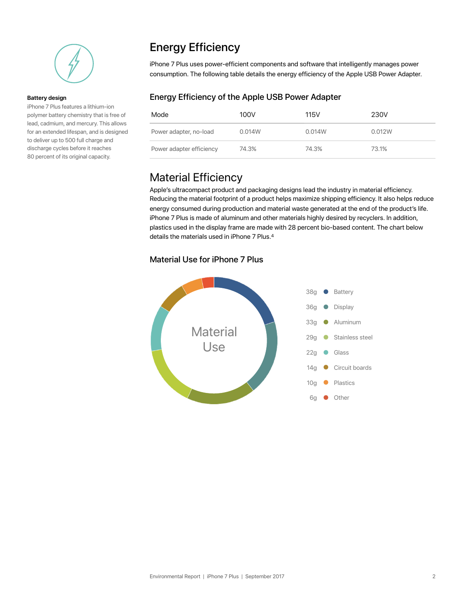

#### **Battery design**

iPhone 7 Plus features a lithium-ion polymer battery chemistry that is free of lead, cadmium, and mercury. This allows for an extended lifespan, and is designed to deliver up to 500 full charge and discharge cycles before it reaches 80 percent of its original capacity.

## Energy Efficiency

iPhone 7 Plus uses power-efficient components and software that intelligently manages power consumption. The following table details the energy efficiency of the Apple USB Power Adapter.

#### Energy Efficiency of the Apple USB Power Adapter

| Mode                     | 100V   | 115V   | 230V   |
|--------------------------|--------|--------|--------|
| Power adapter, no-load   | 0.014W | 0.014W | 0.012W |
| Power adapter efficiency | 74.3%  | 74.3%  | 73.1%  |

#### Material Efficiency

Apple's ultracompact product and packaging designs lead the industry in material efficiency. Reducing the material footprint of a product helps maximize shipping efficiency. It also helps reduce energy consumed during production and material waste generated at the end of the product's life. iPhone 7 Plus is made of aluminum and other materials highly desired by recyclers. In addition, plastics used in the display frame are made with 28 percent bio-based content. The chart below details the materials used in iPhone 7 Plus.4

#### Material Use for iPhone 7 Plus

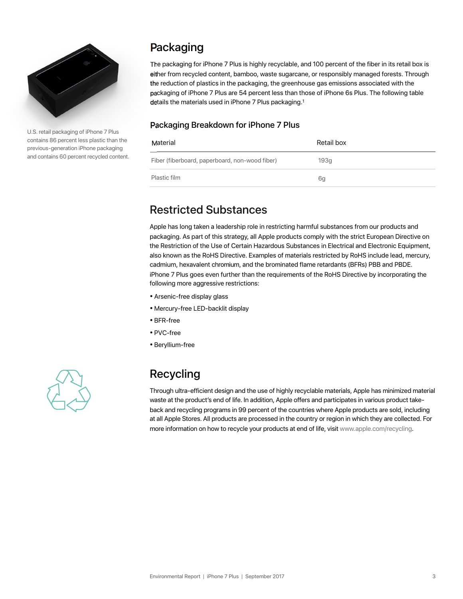

U.S. retail packaging of iPhone 7 Plus contains 86 percent less plastic than the previous-generation iPhone packaging and contains 60 percent recycled content.

# Packaging

The packaging for iPhone 7 Plus is highly recyclable, and 100 percent of the fiber in its retail box is either from recycled content, bamboo, waste sugarcane, or responsibly managed forests. Through the reduction of plastics in the packaging, the greenhouse gas emissions associated with the packaging of iPhone 7 Plus are 54 percent less than those of iPhone 6s Plus. The following table details the materials used in iPhone 7 Plus packaging.1

#### Packaging Breakdown for iPhone 7 Plus

| Material                                       | Retail box |
|------------------------------------------------|------------|
| Fiber (fiberboard, paperboard, non-wood fiber) | 193q       |
| Plastic film                                   | 6a         |

# Restricted Substances

Apple has long taken a leadership role in restricting harmful substances from our products and packaging. As part of this strategy, all Apple products comply with the strict European Directive on the Restriction of the Use of Certain Hazardous Substances in Electrical and Electronic Equipment, also known as the RoHS Directive. Examples of materials restricted by RoHS include lead, mercury, cadmium, hexavalent chromium, and the brominated flame retardants (BFRs) PBB and PBDE. iPhone 7 Plus goes even further than the requirements of the RoHS Directive by incorporating the following more aggressive restrictions:

- Arsenic-free display glass
- Mercury-free LED-backlit display
- BFR-free
- PVC-free
- Beryllium-free



# Recycling

Through ultra-efficient design and the use of highly recyclable materials, Apple has minimized material waste at the product's end of life. In addition, Apple offers and participates in various product takeback and recycling programs in 99 percent of the countries where Apple products are sold, including at all Apple Stores. All products are processed in the country or region in which they are collected. For more information on how to recycle your products at end of life, visit www.apple.com/recycling.